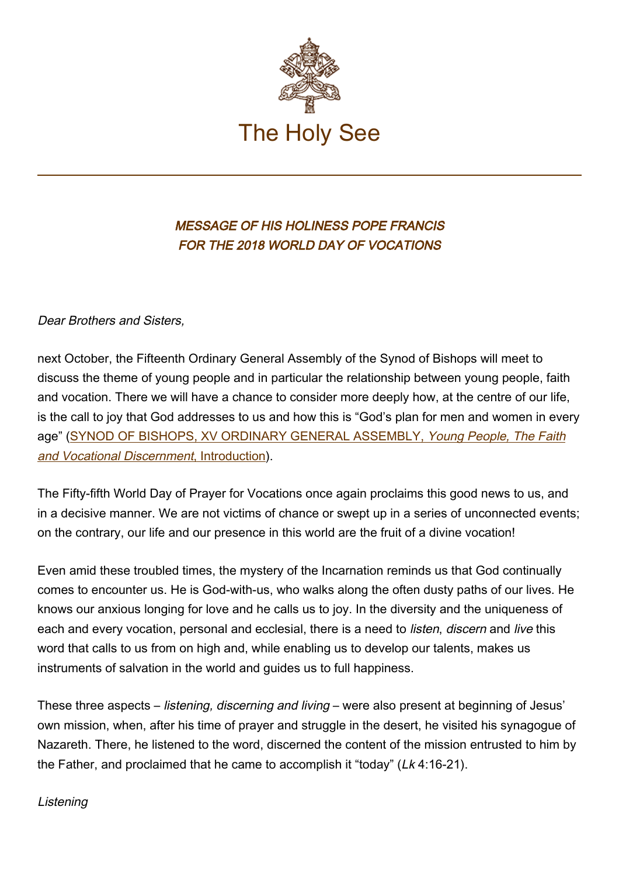

# MESSAGE OF HIS HOLINESS POPE FRANCIS FOR THE 2018 WORLD DAY OF VOCATIONS

Dear Brothers and Sisters,

next October, the Fifteenth Ordinary General Assembly of the Synod of Bishops will meet to discuss the theme of young people and in particular the relationship between young people, faith and vocation. There we will have a chance to consider more deeply how, at the centre of our life, is the call to joy that God addresses to us and how this is "God's plan for men and women in every age" [\(SYNOD OF BISHOPS, XV ORDINARY GENERAL ASSEMBLY,](http://www.vatican.va/roman_curia/synod/documents/rc_synod_doc_20170113_documento-preparatorio-xv_en.html) Young People, The Faith and Vocational Discernment[, Introduction](http://www.vatican.va/roman_curia/synod/documents/rc_synod_doc_20170113_documento-preparatorio-xv_en.html)).

The Fifty-fifth World Day of Prayer for Vocations once again proclaims this good news to us, and in a decisive manner. We are not victims of chance or swept up in a series of unconnected events; on the contrary, our life and our presence in this world are the fruit of a divine vocation!

Even amid these troubled times, the mystery of the Incarnation reminds us that God continually comes to encounter us. He is God-with-us, who walks along the often dusty paths of our lives. He knows our anxious longing for love and he calls us to joy. In the diversity and the uniqueness of each and every vocation, personal and ecclesial, there is a need to *listen, discern* and *live* this word that calls to us from on high and, while enabling us to develop our talents, makes us instruments of salvation in the world and guides us to full happiness.

These three aspects – *listening, discerning and living* – were also present at beginning of Jesus' own mission, when, after his time of prayer and struggle in the desert, he visited his synagogue of Nazareth. There, he listened to the word, discerned the content of the mission entrusted to him by the Father, and proclaimed that he came to accomplish it "today" (Lk 4:16-21).

### **Listening**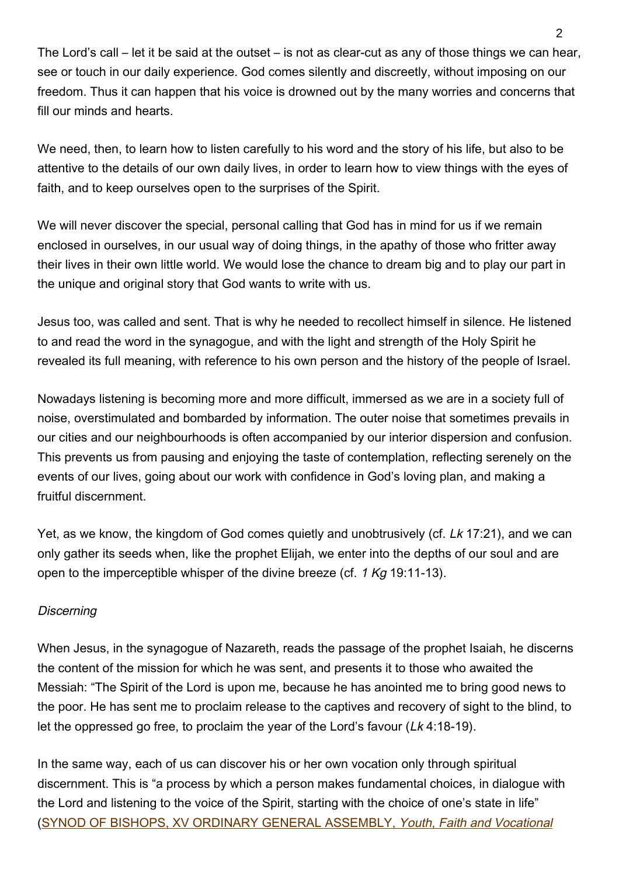The Lord's call – let it be said at the outset – is not as clear-cut as any of those things we can hear, see or touch in our daily experience. God comes silently and discreetly, without imposing on our freedom. Thus it can happen that his voice is drowned out by the many worries and concerns that fill our minds and hearts.

We need, then, to learn how to listen carefully to his word and the story of his life, but also to be attentive to the details of our own daily lives, in order to learn how to view things with the eyes of faith, and to keep ourselves open to the surprises of the Spirit.

We will never discover the special, personal calling that God has in mind for us if we remain enclosed in ourselves, in our usual way of doing things, in the apathy of those who fritter away their lives in their own little world. We would lose the chance to dream big and to play our part in the unique and original story that God wants to write with us.

Jesus too, was called and sent. That is why he needed to recollect himself in silence. He listened to and read the word in the synagogue, and with the light and strength of the Holy Spirit he revealed its full meaning, with reference to his own person and the history of the people of Israel.

Nowadays listening is becoming more and more difficult, immersed as we are in a society full of noise, overstimulated and bombarded by information. The outer noise that sometimes prevails in our cities and our neighbourhoods is often accompanied by our interior dispersion and confusion. This prevents us from pausing and enjoying the taste of contemplation, reflecting serenely on the events of our lives, going about our work with confidence in God's loving plan, and making a fruitful discernment.

Yet, as we know, the kingdom of God comes quietly and unobtrusively (cf. Lk 17:21), and we can only gather its seeds when, like the prophet Elijah, we enter into the depths of our soul and are open to the imperceptible whisper of the divine breeze (cf. 1 Kg 19:11-13).

### Discerning

When Jesus, in the synagogue of Nazareth, reads the passage of the prophet Isaiah, he discerns the content of the mission for which he was sent, and presents it to those who awaited the Messiah: "The Spirit of the Lord is upon me, because he has anointed me to bring good news to the poor. He has sent me to proclaim release to the captives and recovery of sight to the blind, to let the oppressed go free, to proclaim the year of the Lord's favour (Lk 4:18-19).

In the same way, each of us can discover his or her own vocation only through spiritual discernment. This is "a process by which a person makes fundamental choices, in dialogue with the Lord and listening to the voice of the Spirit, starting with the choice of one's state in life" ([SYNOD OF BISHOPS, XV ORDINARY GENERAL ASSEMBLY,](http://www.vatican.va/roman_curia/synod/documents/rc_synod_doc_20170113_documento-preparatorio-xv_en.html) Youth, Faith and Vocational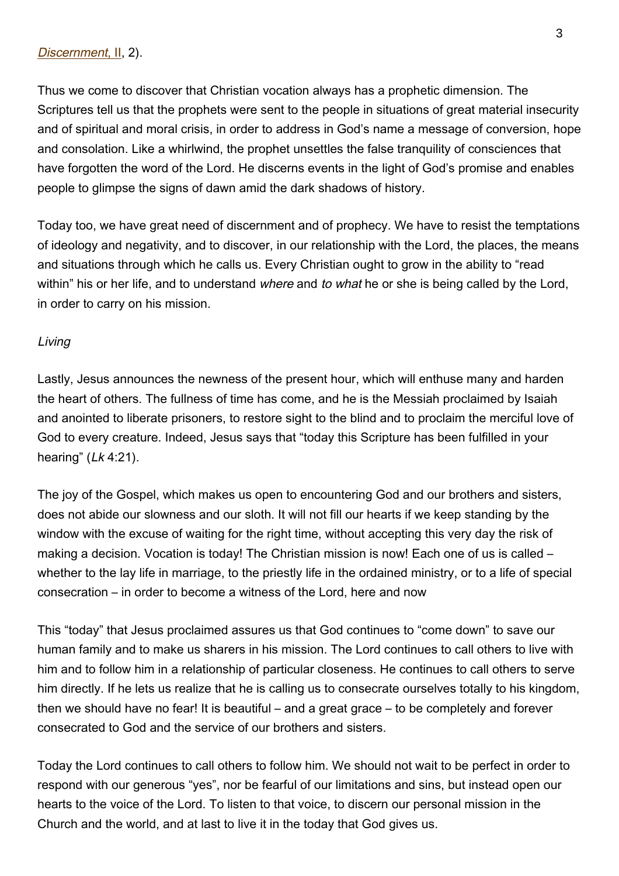Thus we come to discover that Christian vocation always has a prophetic dimension. The Scriptures tell us that the prophets were sent to the people in situations of great material insecurity and of spiritual and moral crisis, in order to address in God's name a message of conversion, hope and consolation. Like a whirlwind, the prophet unsettles the false tranquility of consciences that have forgotten the word of the Lord. He discerns events in the light of God's promise and enables people to glimpse the signs of dawn amid the dark shadows of history.

Today too, we have great need of discernment and of prophecy. We have to resist the temptations of ideology and negativity, and to discover, in our relationship with the Lord, the places, the means and situations through which he calls us. Every Christian ought to grow in the ability to "read within" his or her life, and to understand where and to what he or she is being called by the Lord, in order to carry on his mission.

#### Living

Lastly, Jesus announces the newness of the present hour, which will enthuse many and harden the heart of others. The fullness of time has come, and he is the Messiah proclaimed by Isaiah and anointed to liberate prisoners, to restore sight to the blind and to proclaim the merciful love of God to every creature. Indeed, Jesus says that "today this Scripture has been fulfilled in your hearing"  $(Lk 4:21)$ .

The joy of the Gospel, which makes us open to encountering God and our brothers and sisters, does not abide our slowness and our sloth. It will not fill our hearts if we keep standing by the window with the excuse of waiting for the right time, without accepting this very day the risk of making a decision. Vocation is today! The Christian mission is now! Each one of us is called – whether to the lay life in marriage, to the priestly life in the ordained ministry, or to a life of special consecration – in order to become a witness of the Lord, here and now

This "today" that Jesus proclaimed assures us that God continues to "come down" to save our human family and to make us sharers in his mission. The Lord continues to call others to live with him and to follow him in a relationship of particular closeness. He continues to call others to serve him directly. If he lets us realize that he is calling us to consecrate ourselves totally to his kingdom, then we should have no fear! It is beautiful – and a great grace – to be completely and forever consecrated to God and the service of our brothers and sisters.

Today the Lord continues to call others to follow him. We should not wait to be perfect in order to respond with our generous "yes", nor be fearful of our limitations and sins, but instead open our hearts to the voice of the Lord. To listen to that voice, to discern our personal mission in the Church and the world, and at last to live it in the today that God gives us.